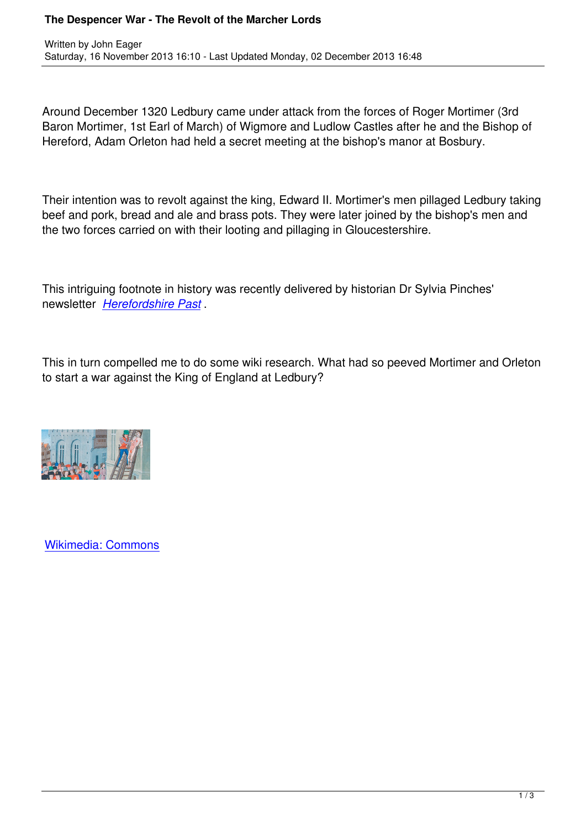Around December 1320 Ledbury came under attack from the forces of Roger Mortimer (3rd Baron Mortimer, 1st Earl of March) of Wigmore and Ludlow Castles after he and the Bishop of Hereford, Adam Orleton had held a secret meeting at the bishop's manor at Bosbury.

Their intention was to revolt against the king, Edward II. Mortimer's men pillaged Ledbury taking beef and pork, bread and ale and brass pots. They were later joined by the bishop's men and the two forces carried on with their looting and pillaging in Gloucestershire.

This intriguing footnote in history was recently delivered by historian Dr Sylvia Pinches' newsletter *Herefordshire Past* .

This in turn [compelled me to do](http://www.visitledbury.info/files/pdfs/VCH NewsletterNo16A5.pdf) some wiki research. What had so peeved Mortimer and Orleton to start a war against the King of England at Ledbury?



Written by John Eager

Wikimedia: Commons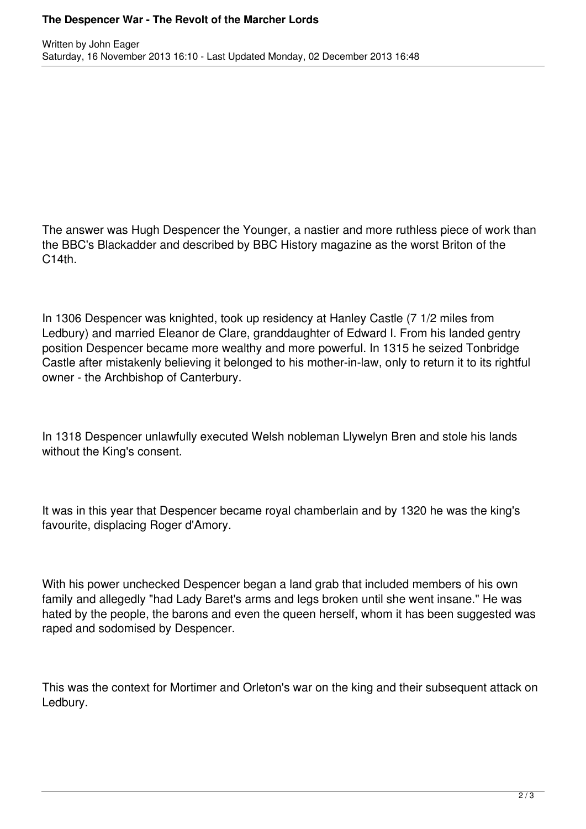## **The Despencer War - The Revolt of the Marcher Lords**

The answer was Hugh Despencer the Younger, a nastier and more ruthless piece of work than the BBC's Blackadder and described by BBC History magazine as the worst Briton of the  $C14th$ .

In 1306 Despencer was knighted, took up residency at Hanley Castle (7 1/2 miles from Ledbury) and married Eleanor de Clare, granddaughter of Edward I. From his landed gentry position Despencer became more wealthy and more powerful. In 1315 he seized Tonbridge Castle after mistakenly believing it belonged to his mother-in-law, only to return it to its rightful owner - the Archbishop of Canterbury.

In 1318 Despencer unlawfully executed Welsh nobleman Llywelyn Bren and stole his lands without the King's consent.

It was in this year that Despencer became royal chamberlain and by 1320 he was the king's favourite, displacing Roger d'Amory.

With his power unchecked Despencer began a land grab that included members of his own family and allegedly "had Lady Baret's arms and legs broken until she went insane." He was hated by the people, the barons and even the queen herself, whom it has been suggested was raped and sodomised by Despencer.

This was the context for Mortimer and Orleton's war on the king and their subsequent attack on Ledbury.